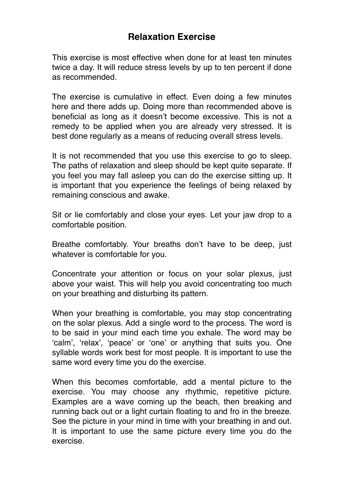## **Relaxation Exercise**

This exercise is most effective when done for at least ten minutes twice a day. It will reduce stress levels by up to ten percent if done as recommended.

The exercise is cumulative in effect. Even doing a few minutes here and there adds up. Doing more than recommended above is beneficial as long as it doesn't become excessive. This is not a remedy to be applied when you are already very stressed. It is best done regularly as a means of reducing overall stress levels.

It is not recommended that you use this exercise to go to sleep. The paths of relaxation and sleep should be kept quite separate. If you feel you may fall asleep you can do the exercise sitting up. It is important that you experience the feelings of being relaxed by remaining conscious and awake.

Sit or lie comfortably and close your eyes. Let your jaw drop to a comfortable position.

Breathe comfortably. Your breaths don't have to be deep, just whatever is comfortable for you.

Concentrate your attention or focus on your solar plexus, just above your waist. This will help you avoid concentrating too much on your breathing and disturbing its pattern.

When your breathing is comfortable, you may stop concentrating on the solar plexus. Add a single word to the process. The word is to be said in your mind each time you exhale. The word may be 'calm', 'relax', 'peace' or 'one' or anything that suits you. One syllable words work best for most people. It is important to use the same word every time you do the exercise.

When this becomes comfortable, add a mental picture to the exercise. You may choose any rhythmic, repetitive picture. Examples are a wave coming up the beach, then breaking and running back out or a light curtain floating to and fro in the breeze. See the picture in your mind in time with your breathing in and out. It is important to use the same picture every time you do the exercise.